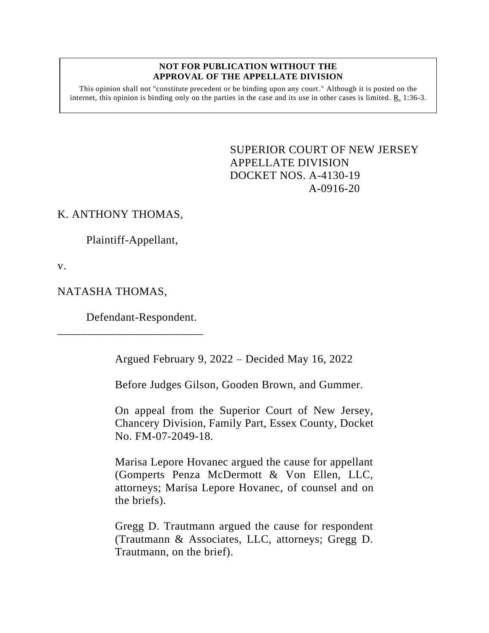#### **NOT FOR PUBLICATION WITHOUT THE APPROVAL OF THE APPELLATE DIVISION**

This opinion shall not "constitute precedent or be binding upon any court." Although it is posted on the internet, this opinion is binding only on the parties in the case and its use in other cases is limited.  $R_1$  1:36-3.

> <span id="page-0-0"></span>SUPERIOR COURT OF NEW JERSEY APPELLATE DIVISION DOCKET NOS. A-4130-19 A-0916-20

# K. ANTHONY THOMAS,

Plaintiff-Appellant,

v.

## NATASHA THOMAS,

Defendant-Respondent.

\_\_\_\_\_\_\_\_\_\_\_\_\_\_\_\_\_\_\_\_\_\_\_\_\_

Argued February 9, 2022 – Decided May 16, 2022

Before Judges Gilson, Gooden Brown, and Gummer.

On appeal from the Superior Court of New Jersey, Chancery Division, Family Part, Essex County, Docket No. FM-07-2049-18.

Marisa Lepore Hovanec argued the cause for appellant (Gomperts Penza McDermott & Von Ellen, LLC, attorneys; Marisa Lepore Hovanec, of counsel and on the briefs).

Gregg D. Trautmann argued the cause for respondent (Trautmann & Associates, LLC, attorneys; Gregg D. Trautmann, on the brief).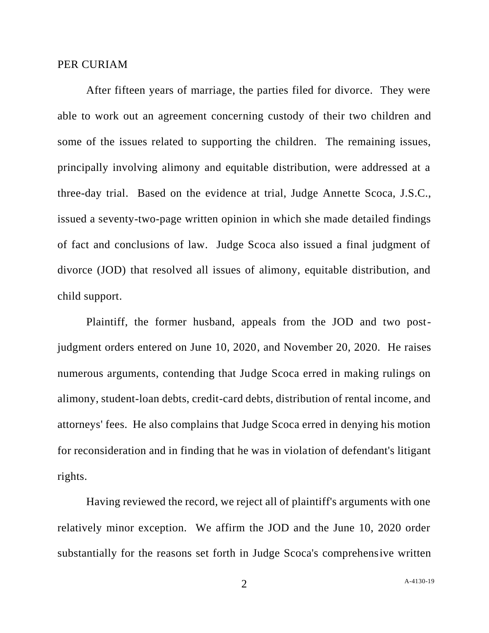#### PER CURIAM

After fifteen years of marriage, the parties filed for divorce. They were able to work out an agreement concerning custody of their two children and some of the issues related to supporting the children. The remaining issues, principally involving alimony and equitable distribution, were addressed at a three-day trial. Based on the evidence at trial, Judge Annette Scoca, J.S.C., issued a seventy-two-page written opinion in which she made detailed findings of fact and conclusions of law. Judge Scoca also issued a final judgment of divorce (JOD) that resolved all issues of alimony, equitable distribution, and child support.

Plaintiff, the former husband, appeals from the JOD and two postjudgment orders entered on June 10, 2020, and November 20, 2020. He raises numerous arguments, contending that Judge Scoca erred in making rulings on alimony, student-loan debts, credit-card debts, distribution of rental income, and attorneys' fees. He also complains that Judge Scoca erred in denying his motion for reconsideration and in finding that he was in violation of defendant's litigant rights.

Having reviewed the record, we reject all of plaintiff's arguments with one relatively minor exception. We affirm the JOD and the June 10, 2020 order substantially for the reasons set forth in Judge Scoca's comprehensive written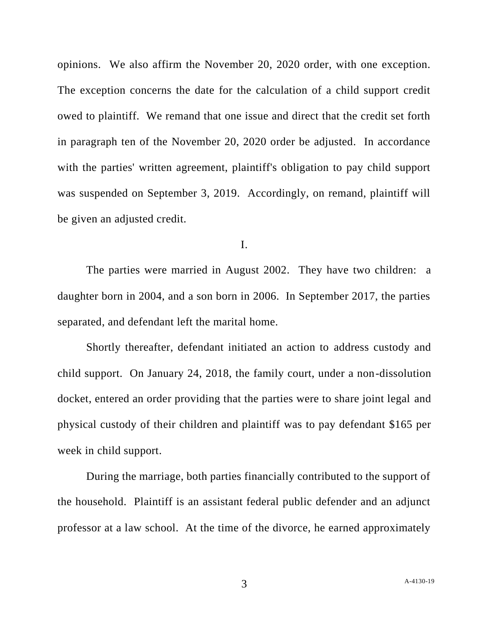opinions. We also affirm the November 20, 2020 order, with one exception. The exception concerns the date for the calculation of a child support credit owed to plaintiff. We remand that one issue and direct that the credit set forth in paragraph ten of the November 20, 2020 order be adjusted. In accordance with the parties' written agreement, plaintiff's obligation to pay child support was suspended on September 3, 2019. Accordingly, on remand, plaintiff will be given an adjusted credit.

I.

The parties were married in August 2002. They have two children: a daughter born in 2004, and a son born in 2006. In September 2017, the parties separated, and defendant left the marital home.

Shortly thereafter, defendant initiated an action to address custody and child support. On January 24, 2018, the family court, under a non-dissolution docket, entered an order providing that the parties were to share joint legal and physical custody of their children and plaintiff was to pay defendant \$165 per week in child support.

During the marriage, both parties financially contributed to the support of the household. Plaintiff is an assistant federal public defender and an adjunct professor at a law school. At the time of the divorce, he earned approximately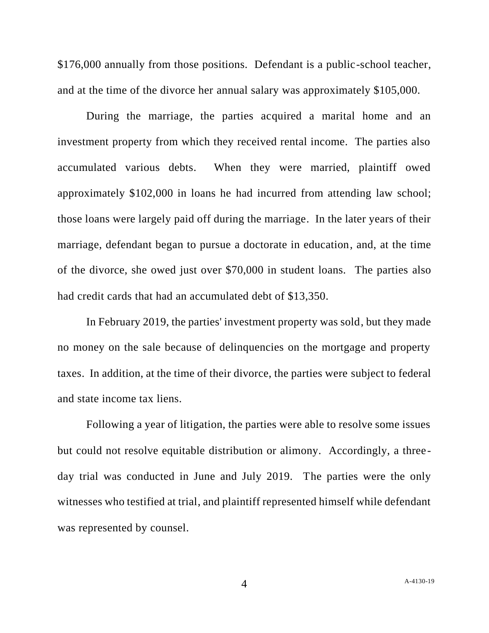\$176,000 annually from those positions. Defendant is a public-school teacher, and at the time of the divorce her annual salary was approximately \$105,000.

During the marriage, the parties acquired a marital home and an investment property from which they received rental income. The parties also accumulated various debts. When they were married, plaintiff owed approximately \$102,000 in loans he had incurred from attending law school; those loans were largely paid off during the marriage. In the later years of their marriage, defendant began to pursue a doctorate in education, and, at the time of the divorce, she owed just over \$70,000 in student loans. The parties also had credit cards that had an accumulated debt of \$13,350.

In February 2019, the parties' investment property was sold, but they made no money on the sale because of delinquencies on the mortgage and property taxes. In addition, at the time of their divorce, the parties were subject to federal and state income tax liens.

Following a year of litigation, the parties were able to resolve some issues but could not resolve equitable distribution or alimony. Accordingly, a threeday trial was conducted in June and July 2019. The parties were the only witnesses who testified at trial, and plaintiff represented himself while defendant was represented by counsel.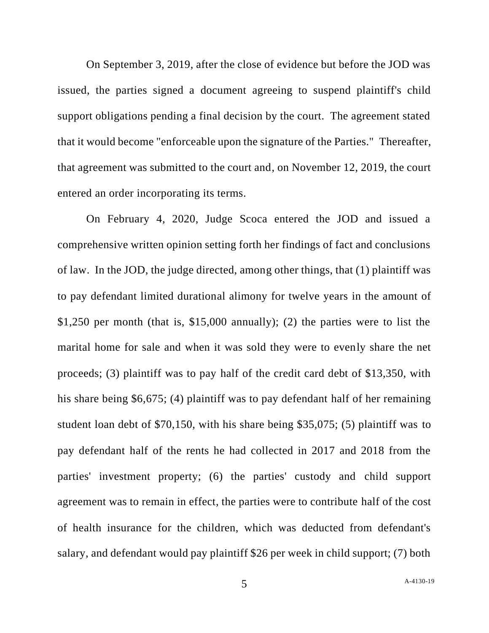On September 3, 2019, after the close of evidence but before the JOD was issued, the parties signed a document agreeing to suspend plaintiff's child support obligations pending a final decision by the court. The agreement stated that it would become "enforceable upon the signature of the Parties." Thereafter, that agreement was submitted to the court and, on November 12, 2019, the court entered an order incorporating its terms.

On February 4, 2020, Judge Scoca entered the JOD and issued a comprehensive written opinion setting forth her findings of fact and conclusions of law. In the JOD, the judge directed, among other things, that (1) plaintiff was to pay defendant limited durational alimony for twelve years in the amount of \$1,250 per month (that is, \$15,000 annually); (2) the parties were to list the marital home for sale and when it was sold they were to evenly share the net proceeds; (3) plaintiff was to pay half of the credit card debt of \$13,350, with his share being \$6,675; (4) plaintiff was to pay defendant half of her remaining student loan debt of \$70,150, with his share being \$35,075; (5) plaintiff was to pay defendant half of the rents he had collected in 2017 and 2018 from the parties' investment property; (6) the parties' custody and child support agreement was to remain in effect, the parties were to contribute half of the cost of health insurance for the children, which was deducted from defendant's salary, and defendant would pay plaintiff \$26 per week in child support; (7) both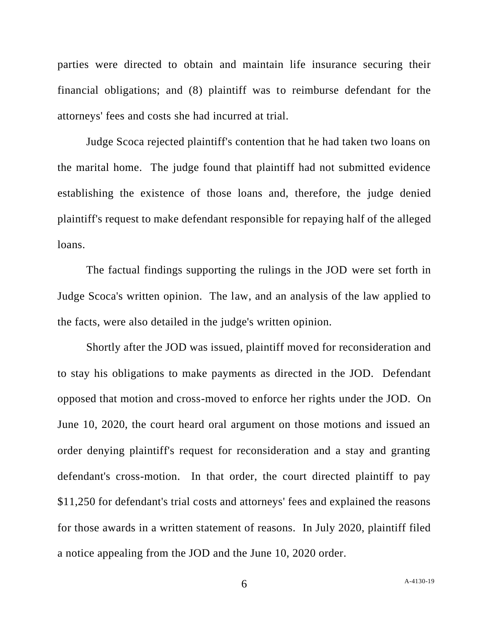parties were directed to obtain and maintain life insurance securing their financial obligations; and (8) plaintiff was to reimburse defendant for the attorneys' fees and costs she had incurred at trial.

Judge Scoca rejected plaintiff's contention that he had taken two loans on the marital home. The judge found that plaintiff had not submitted evidence establishing the existence of those loans and, therefore, the judge denied plaintiff's request to make defendant responsible for repaying half of the alleged loans.

The factual findings supporting the rulings in the JOD were set forth in Judge Scoca's written opinion. The law, and an analysis of the law applied to the facts, were also detailed in the judge's written opinion.

Shortly after the JOD was issued, plaintiff moved for reconsideration and to stay his obligations to make payments as directed in the JOD. Defendant opposed that motion and cross-moved to enforce her rights under the JOD. On June 10, 2020, the court heard oral argument on those motions and issued an order denying plaintiff's request for reconsideration and a stay and granting defendant's cross-motion. In that order, the court directed plaintiff to pay \$11,250 for defendant's trial costs and attorneys' fees and explained the reasons for those awards in a written statement of reasons. In July 2020, plaintiff filed a notice appealing from the JOD and the June 10, 2020 order.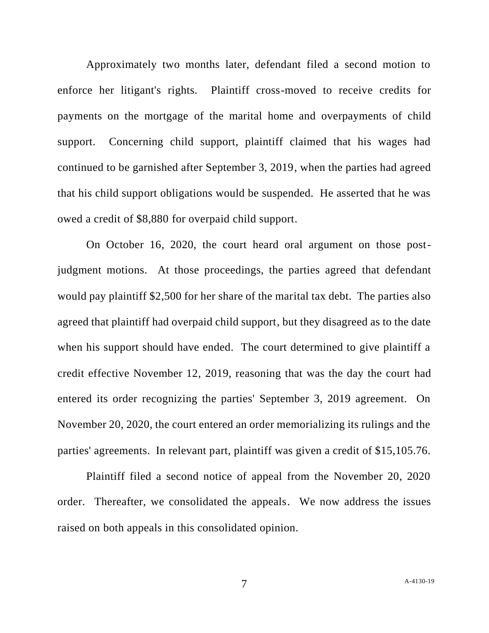Approximately two months later, defendant filed a second motion to enforce her litigant's rights. Plaintiff cross-moved to receive credits for payments on the mortgage of the marital home and overpayments of child support. Concerning child support, plaintiff claimed that his wages had continued to be garnished after September 3, 2019, when the parties had agreed that his child support obligations would be suspended. He asserted that he was owed a credit of \$8,880 for overpaid child support.

On October 16, 2020, the court heard oral argument on those postjudgment motions. At those proceedings, the parties agreed that defendant would pay plaintiff \$2,500 for her share of the marital tax debt. The parties also agreed that plaintiff had overpaid child support, but they disagreed as to the date when his support should have ended. The court determined to give plaintiff a credit effective November 12, 2019, reasoning that was the day the court had entered its order recognizing the parties' September 3, 2019 agreement. On November 20, 2020, the court entered an order memorializing its rulings and the parties' agreements. In relevant part, plaintiff was given a credit of \$15,105.76.

Plaintiff filed a second notice of appeal from the November 20, 2020 order. Thereafter, we consolidated the appeals. We now address the issues raised on both appeals in this consolidated opinion.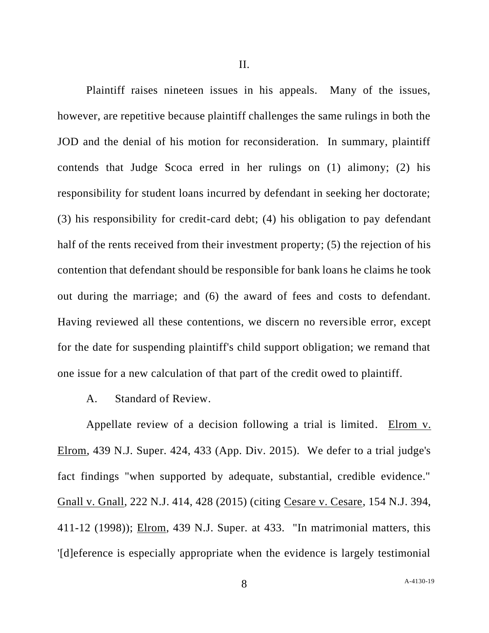Plaintiff raises nineteen issues in his appeals. Many of the issues, however, are repetitive because plaintiff challenges the same rulings in both the JOD and the denial of his motion for reconsideration. In summary, plaintiff contends that Judge Scoca erred in her rulings on (1) alimony; (2) his responsibility for student loans incurred by defendant in seeking her doctorate; (3) his responsibility for credit-card debt; (4) his obligation to pay defendant half of the rents received from their investment property; (5) the rejection of his contention that defendant should be responsible for bank loans he claims he took out during the marriage; and (6) the award of fees and costs to defendant. Having reviewed all these contentions, we discern no reversible error, except for the date for suspending plaintiff's child support obligation; we remand that one issue for a new calculation of that part of the credit owed to plaintiff.

A. Standard of Review.

Appellate review of a decision following a trial is limited. Elrom v. Elrom, 439 N.J. Super. 424, 433 (App. Div. 2015). We defer to a trial judge's fact findings "when supported by adequate, substantial, credible evidence." Gnall v. Gnall, 222 N.J. 414, 428 (2015) (citing Cesare v. Cesare, 154 N.J. 394, 411-12 (1998)); Elrom, 439 N.J. Super. at 433. "In matrimonial matters, this '[d]eference is especially appropriate when the evidence is largely testimonial

A[-4130-19](#page-0-0)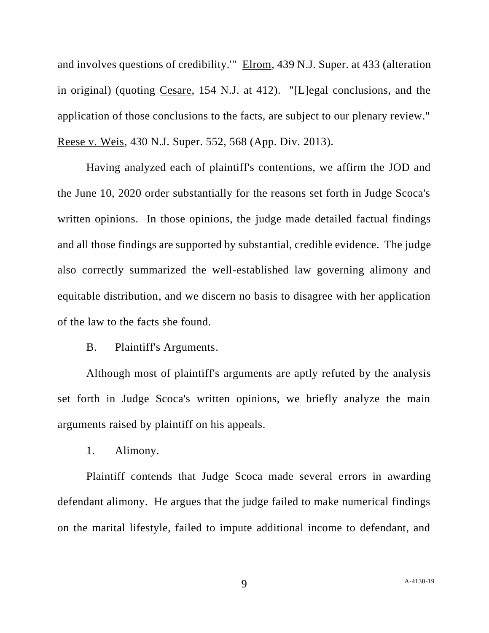and involves questions of credibility.'" Elrom, 439 N.J. Super. at 433 (alteration in original) (quoting Cesare, 154 N.J. at 412). "[L]egal conclusions, and the application of those conclusions to the facts, are subject to our plenary review." Reese v. Weis, 430 N.J. Super. 552, 568 (App. Div. 2013).

Having analyzed each of plaintiff's contentions, we affirm the JOD and the June 10, 2020 order substantially for the reasons set forth in Judge Scoca's written opinions. In those opinions, the judge made detailed factual findings and all those findings are supported by substantial, credible evidence. The judge also correctly summarized the well-established law governing alimony and equitable distribution, and we discern no basis to disagree with her application of the law to the facts she found.

B. Plaintiff's Arguments.

Although most of plaintiff's arguments are aptly refuted by the analysis set forth in Judge Scoca's written opinions, we briefly analyze the main arguments raised by plaintiff on his appeals.

1. Alimony.

Plaintiff contends that Judge Scoca made several errors in awarding defendant alimony. He argues that the judge failed to make numerical findings on the marital lifestyle, failed to impute additional income to defendant, and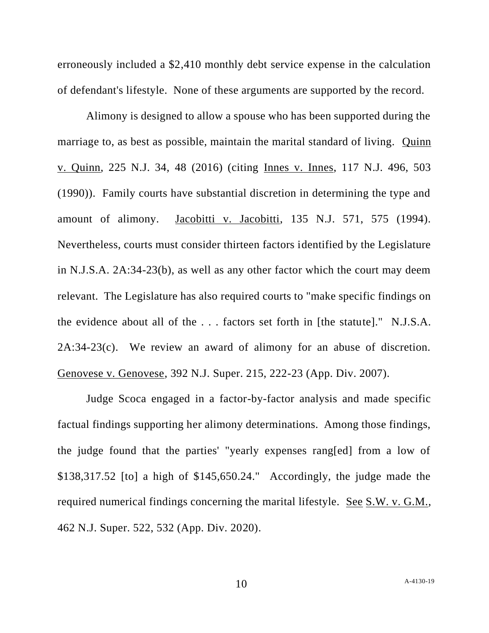erroneously included a \$2,410 monthly debt service expense in the calculation of defendant's lifestyle. None of these arguments are supported by the record.

Alimony is designed to allow a spouse who has been supported during the marriage to, as best as possible, maintain the marital standard of living. Quinn v. Quinn, 225 N.J. 34, 48 (2016) (citing Innes v. Innes, 117 N.J. 496, 503 (1990)). Family courts have substantial discretion in determining the type and amount of alimony. Jacobitti v. Jacobitti, 135 N.J. 571, 575 (1994). Nevertheless, courts must consider thirteen factors identified by the Legislature in N.J.S.A. 2A:34-23(b), as well as any other factor which the court may deem relevant. The Legislature has also required courts to "make specific findings on the evidence about all of the . . . factors set forth in [the statute]." N.J.S.A. 2A:34-23(c). We review an award of alimony for an abuse of discretion. Genovese v. Genovese, 392 N.J. Super. 215, 222-23 (App. Div. 2007).

Judge Scoca engaged in a factor-by-factor analysis and made specific factual findings supporting her alimony determinations. Among those findings, the judge found that the parties' "yearly expenses rang[ed] from a low of \$138,317.52 [to] a high of \$145,650.24." Accordingly, the judge made the required numerical findings concerning the marital lifestyle. See S.W. v. G.M., 462 N.J. Super. 522, 532 (App. Div. 2020).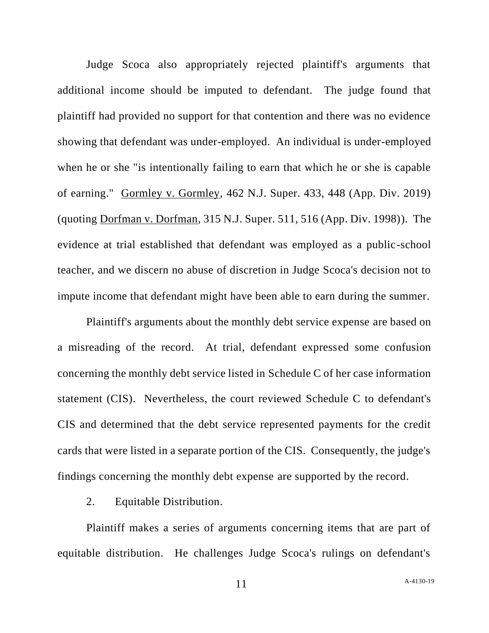Judge Scoca also appropriately rejected plaintiff's arguments that additional income should be imputed to defendant. The judge found that plaintiff had provided no support for that contention and there was no evidence showing that defendant was under-employed. An individual is under-employed when he or she "is intentionally failing to earn that which he or she is capable of earning." Gormley v. Gormley, 462 N.J. Super. 433, 448 (App. Div. 2019) (quoting Dorfman v. Dorfman, 315 N.J. Super. 511, 516 (App. Div. 1998)). The evidence at trial established that defendant was employed as a public-school teacher, and we discern no abuse of discretion in Judge Scoca's decision not to impute income that defendant might have been able to earn during the summer.

Plaintiff's arguments about the monthly debt service expense are based on a misreading of the record. At trial, defendant expressed some confusion concerning the monthly debt service listed in Schedule C of her case information statement (CIS). Nevertheless, the court reviewed Schedule C to defendant's CIS and determined that the debt service represented payments for the credit cards that were listed in a separate portion of the CIS. Consequently, the judge's findings concerning the monthly debt expense are supported by the record.

2. Equitable Distribution.

Plaintiff makes a series of arguments concerning items that are part of equitable distribution. He challenges Judge Scoca's rulings on defendant's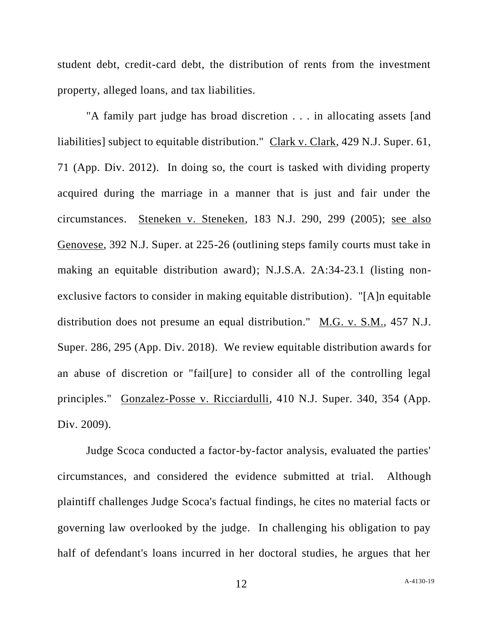student debt, credit-card debt, the distribution of rents from the investment property, alleged loans, and tax liabilities.

"A family part judge has broad discretion . . . in allocating assets [and liabilities] subject to equitable distribution." Clark v. Clark, 429 N.J. Super. 61, 71 (App. Div. 2012). In doing so, the court is tasked with dividing property acquired during the marriage in a manner that is just and fair under the circumstances. Steneken v. Steneken, 183 N.J. 290, 299 (2005); see also Genovese, 392 N.J. Super. at 225-26 (outlining steps family courts must take in making an equitable distribution award); N.J.S.A. 2A:34-23.1 (listing nonexclusive factors to consider in making equitable distribution). "[A]n equitable distribution does not presume an equal distribution." M.G. v. S.M., 457 N.J. Super. 286, 295 (App. Div. 2018). We review equitable distribution awards for an abuse of discretion or "fail[ure] to consider all of the controlling legal principles." Gonzalez-Posse v. Ricciardulli, 410 N.J. Super. 340, 354 (App. Div. 2009).

Judge Scoca conducted a factor-by-factor analysis, evaluated the parties' circumstances, and considered the evidence submitted at trial. Although plaintiff challenges Judge Scoca's factual findings, he cites no material facts or governing law overlooked by the judge. In challenging his obligation to pay half of defendant's loans incurred in her doctoral studies, he argues that her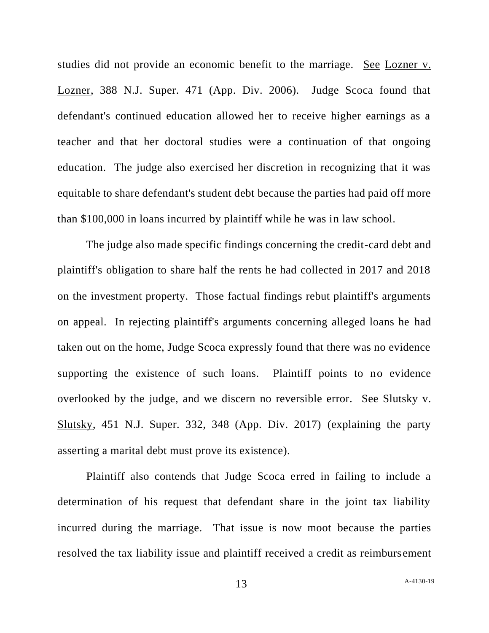studies did not provide an economic benefit to the marriage. See Lozner v. Lozner, 388 N.J. Super. 471 (App. Div. 2006). Judge Scoca found that defendant's continued education allowed her to receive higher earnings as a teacher and that her doctoral studies were a continuation of that ongoing education. The judge also exercised her discretion in recognizing that it was equitable to share defendant's student debt because the parties had paid off more than \$100,000 in loans incurred by plaintiff while he was in law school.

The judge also made specific findings concerning the credit-card debt and plaintiff's obligation to share half the rents he had collected in 2017 and 2018 on the investment property. Those factual findings rebut plaintiff's arguments on appeal. In rejecting plaintiff's arguments concerning alleged loans he had taken out on the home, Judge Scoca expressly found that there was no evidence supporting the existence of such loans. Plaintiff points to no evidence overlooked by the judge, and we discern no reversible error. See Slutsky v. Slutsky, 451 N.J. Super. 332, 348 (App. Div. 2017) (explaining the party asserting a marital debt must prove its existence).

Plaintiff also contends that Judge Scoca erred in failing to include a determination of his request that defendant share in the joint tax liability incurred during the marriage. That issue is now moot because the parties resolved the tax liability issue and plaintiff received a credit as reimbursement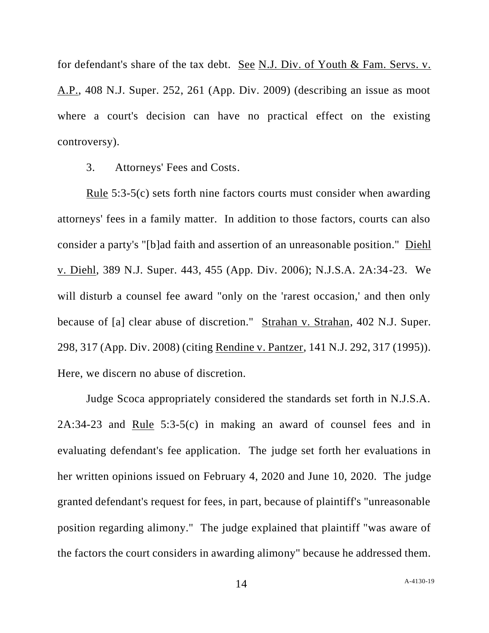for defendant's share of the tax debt. See N.J. Div. of Youth & Fam. Servs. v. A.P., 408 N.J. Super. 252, 261 (App. Div. 2009) (describing an issue as moot where a court's decision can have no practical effect on the existing controversy).

3. Attorneys' Fees and Costs.

Rule 5:3-5(c) sets forth nine factors courts must consider when awarding attorneys' fees in a family matter. In addition to those factors, courts can also consider a party's "[b]ad faith and assertion of an unreasonable position." Diehl v. Diehl, 389 N.J. Super. 443, 455 (App. Div. 2006); N.J.S.A. 2A:34-23. We will disturb a counsel fee award "only on the 'rarest occasion,' and then only because of [a] clear abuse of discretion." Strahan v. Strahan, 402 N.J. Super. 298, 317 (App. Div. 2008) (citing Rendine v. Pantzer, 141 N.J. 292, 317 (1995)). Here, we discern no abuse of discretion.

Judge Scoca appropriately considered the standards set forth in N.J.S.A. 2A:34-23 and Rule 5:3-5(c) in making an award of counsel fees and in evaluating defendant's fee application. The judge set forth her evaluations in her written opinions issued on February 4, 2020 and June 10, 2020. The judge granted defendant's request for fees, in part, because of plaintiff's "unreasonable position regarding alimony." The judge explained that plaintiff "was aware of the factors the court considers in awarding alimony" because he addressed them.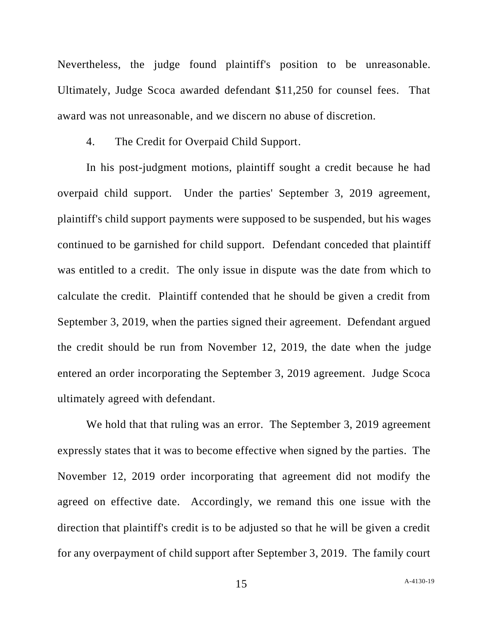Nevertheless, the judge found plaintiff's position to be unreasonable. Ultimately, Judge Scoca awarded defendant \$11,250 for counsel fees. That award was not unreasonable, and we discern no abuse of discretion.

4. The Credit for Overpaid Child Support.

In his post-judgment motions, plaintiff sought a credit because he had overpaid child support. Under the parties' September 3, 2019 agreement, plaintiff's child support payments were supposed to be suspended, but his wages continued to be garnished for child support. Defendant conceded that plaintiff was entitled to a credit. The only issue in dispute was the date from which to calculate the credit. Plaintiff contended that he should be given a credit from September 3, 2019, when the parties signed their agreement. Defendant argued the credit should be run from November 12, 2019, the date when the judge entered an order incorporating the September 3, 2019 agreement. Judge Scoca ultimately agreed with defendant.

We hold that that ruling was an error. The September 3, 2019 agreement expressly states that it was to become effective when signed by the parties. The November 12, 2019 order incorporating that agreement did not modify the agreed on effective date. Accordingly, we remand this one issue with the direction that plaintiff's credit is to be adjusted so that he will be given a credit for any overpayment of child support after September 3, 2019. The family court